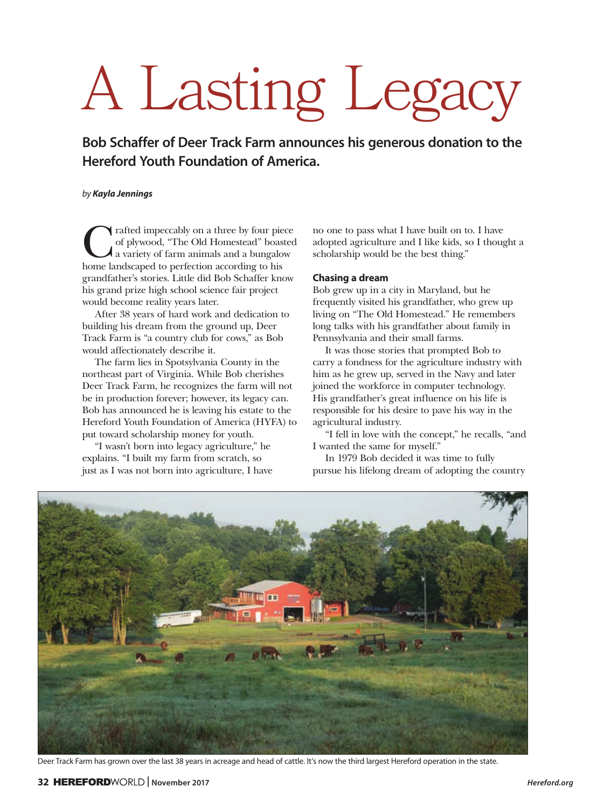## A Lasting Legacy

**Bob Schaffer of Deer Track Farm announces his generous donation to the Hereford Youth Foundation of America.**

## *by Kayla Jennings*

Trafted impeccably on a three by four piece<br>of plywood, "The Old Homestead" boasted<br>a variety of farm animals and a bungalow<br>home landscaped to perfection according to his of plywood, "The Old Homestead" boasted a variety of farm animals and a bungalow home landscaped to perfection according to his grandfather's stories. Little did Bob Schaffer know his grand prize high school science fair project would become reality years later.

After 38 years of hard work and dedication to building his dream from the ground up, Deer Track Farm is "a country club for cows," as Bob would affectionately describe it.

The farm lies in Spotsylvania County in the northeast part of Virginia. While Bob cherishes Deer Track Farm, he recognizes the farm will not be in production forever; however, its legacy can. Bob has announced he is leaving his estate to the Hereford Youth Foundation of America (HYFA) to put toward scholarship money for youth.

"I wasn't born into legacy agriculture," he explains. "I built my farm from scratch, so just as I was not born into agriculture, I have no one to pass what I have built on to. I have adopted agriculture and I like kids, so I thought a scholarship would be the best thing."

## **Chasing a dream**

Bob grew up in a city in Maryland, but he frequently visited his grandfather, who grew up living on "The Old Homestead." He remembers long talks with his grandfather about family in Pennsylvania and their small farms.

It was those stories that prompted Bob to carry a fondness for the agriculture industry with him as he grew up, served in the Navy and later joined the workforce in computer technology. His grandfather's great influence on his life is responsible for his desire to pave his way in the agricultural industry.

"I fell in love with the concept," he recalls, "and I wanted the same for myself."

In 1979 Bob decided it was time to fully pursue his lifelong dream of adopting the country



Deer Track Farm has grown over the last 38 years in acreage and head of cattle. It's now the third largest Hereford operation in the state.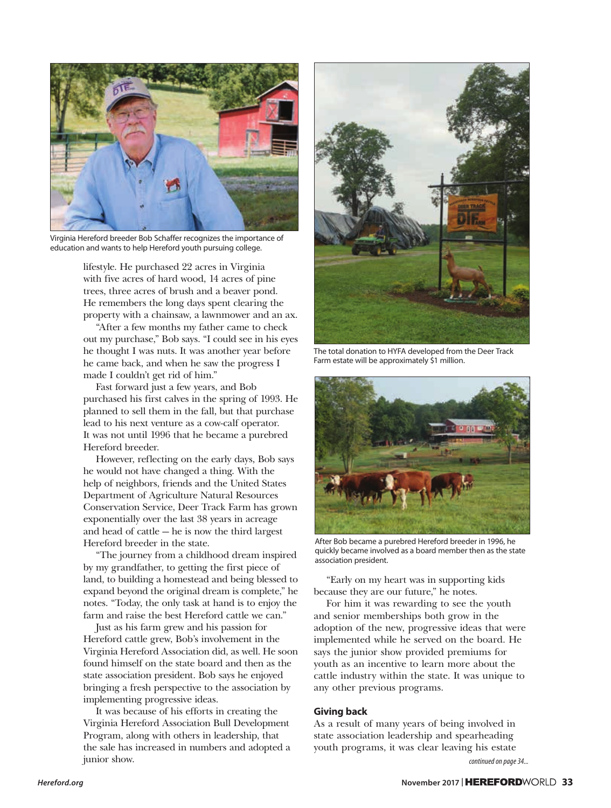

Virginia Hereford breeder Bob Schaffer recognizes the importance of education and wants to help Hereford youth pursuing college.

lifestyle. He purchased 22 acres in Virginia with five acres of hard wood, 14 acres of pine trees, three acres of brush and a beaver pond. He remembers the long days spent clearing the property with a chainsaw, a lawnmower and an ax.

"After a few months my father came to check out my purchase," Bob says. "I could see in his eyes he thought I was nuts. It was another year before he came back, and when he saw the progress I made I couldn't get rid of him."

Fast forward just a few years, and Bob purchased his first calves in the spring of 1993. He planned to sell them in the fall, but that purchase lead to his next venture as a cow-calf operator. It was not until 1996 that he became a purebred Hereford breeder.

However, reflecting on the early days, Bob says he would not have changed a thing. With the help of neighbors, friends and the United States Department of Agriculture Natural Resources Conservation Service, Deer Track Farm has grown exponentially over the last 38 years in acreage and head of cattle — he is now the third largest Hereford breeder in the state.

"The journey from a childhood dream inspired by my grandfather, to getting the first piece of land, to building a homestead and being blessed to expand beyond the original dream is complete," he notes. "Today, the only task at hand is to enjoy the farm and raise the best Hereford cattle we can."

Just as his farm grew and his passion for Hereford cattle grew, Bob's involvement in the Virginia Hereford Association did, as well. He soon found himself on the state board and then as the state association president. Bob says he enjoyed bringing a fresh perspective to the association by implementing progressive ideas.

It was because of his efforts in creating the Virginia Hereford Association Bull Development Program, along with others in leadership, that the sale has increased in numbers and adopted a junior show.



The total donation to HYFA developed from the Deer Track Farm estate will be approximately \$1 million.



After Bob became a purebred Hereford breeder in 1996, he quickly became involved as a board member then as the state association president.

"Early on my heart was in supporting kids because they are our future," he notes.

For him it was rewarding to see the youth and senior memberships both grow in the adoption of the new, progressive ideas that were implemented while he served on the board. He says the junior show provided premiums for youth as an incentive to learn more about the cattle industry within the state. It was unique to any other previous programs.

## **Giving back**

As a result of many years of being involved in state association leadership and spearheading youth programs, it was clear leaving his estate

*continued on page 34...*